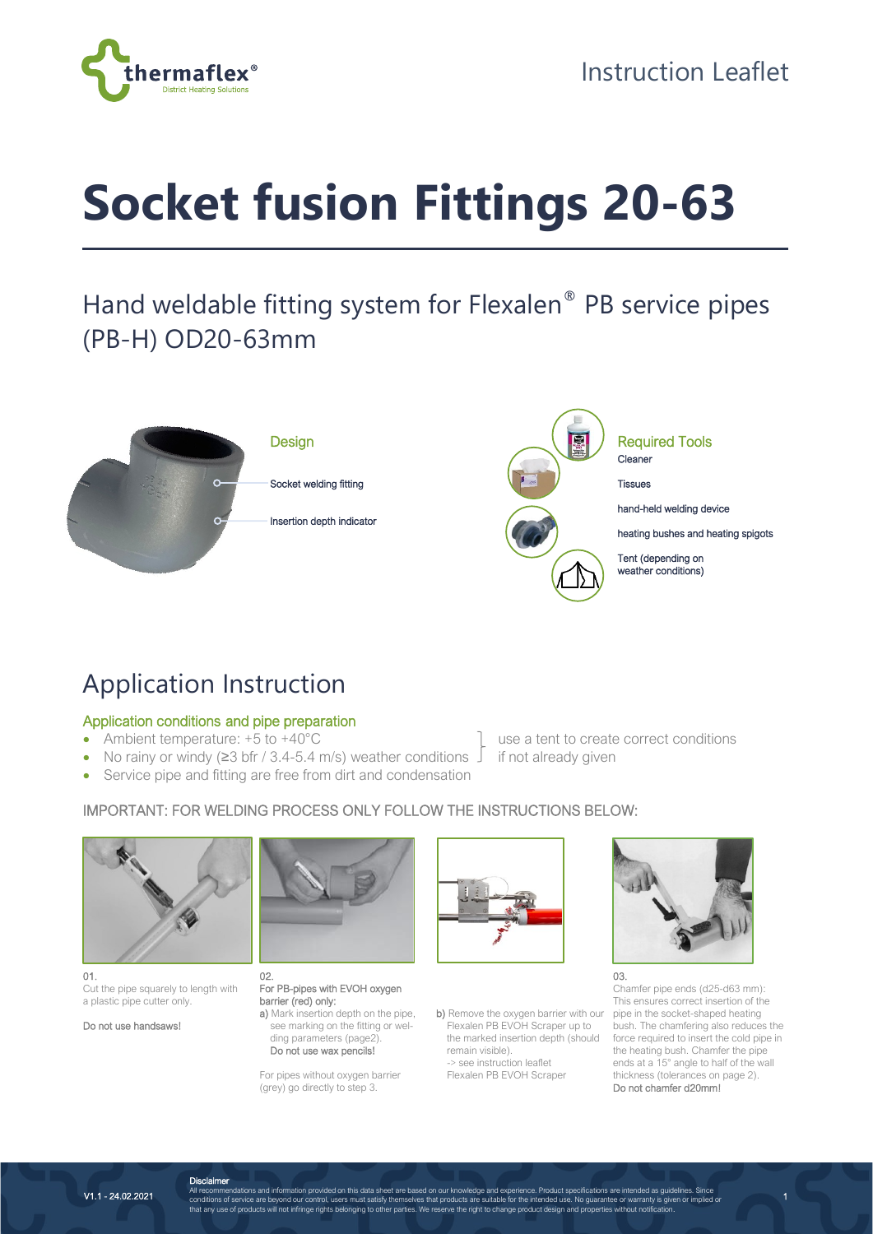

# **Socket fusion Fittings 20-63**

## Hand weldable fitting system for Flexalen® PB service pipes (PB-H) OD20-63mm



## Application Instruction

#### Application conditions and pipe preparation

- 
- No rainy or windy ( $\geq$ 3 bfr / 3.4-5.4 m/s) weather conditions  $\perp$  if not already given
- Service pipe and fitting are free from dirt and condensation
- Ambient temperature: +5 to +40°C <br>
a tent to create correct conditions

### IMPORTANT: FOR WELDING PROCESS ONLY FOLLOW THE INSTRUCTIONS BELOW:



01. Cut the pipe squarely to length with a plastic pipe cutter only.

Do not use handsaws!



02. For PB-pipes with EVOH oxygen barrier (red) only: a) Mark insertion depth on the pipe,

 see marking on the fitting or wel ding parameters (page2). Do not use wax pencils!

For pipes without oxygen barrier (grey) go directly to step 3.



b) Remove the oxygen barrier with our Flexalen PB EVOH Scraper up to the marked insertion depth (should remain visible). -> see instruction leaflet

Flexalen PB EVOH Scraper



Chamfer pipe ends (d25-d63 mm): This ensures correct insertion of the pipe in the socket-shaped heating bush. The chamfering also reduces the force required to insert the cold pipe in the heating bush. Chamfer the pipe ends at a  $15^{\circ}$  angle to half of the wall thickness (tolerances on page 2). Do not chamfer d20mm!

1